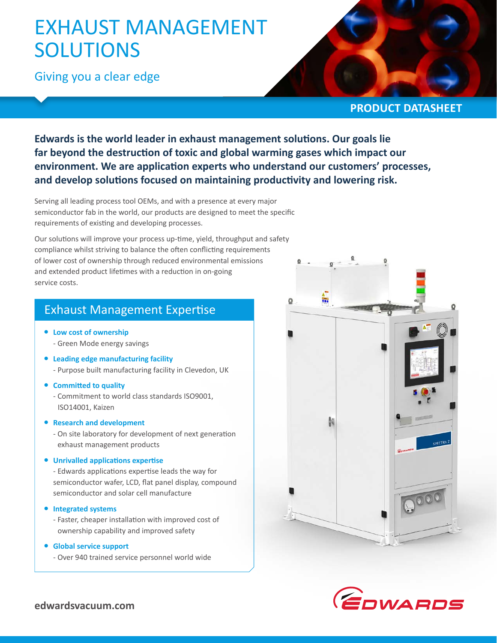# EXHAUST MANAGEMENT SOLUTIONS

## Giving you a clear edge



## **PRODUCT DATASHEET**

**Edwards is the world leader in exhaust management solutions. Our goals lie far beyond the destruction of toxic and global warming gases which impact our environment. We are application experts who understand our customers' processes, and develop solutions focused on maintaining productivity and lowering risk.** 

Serving all leading process tool OEMs, and with a presence at every major semiconductor fab in the world, our products are designed to meet the specific requirements of existing and developing processes.

Our solutions will improve your process up-time, yield, throughput and safety compliance whilst striving to balance the often conflicting requirements of lower cost of ownership through reduced environmental emissions and extended product lifetimes with a reduction in on-going service costs.

### Exhaust Management Expertise

- **Low cost of ownership** - Green Mode energy savings
- **Leading edge manufacturing facility** - Purpose built manufacturing facility in Clevedon, UK
- **Committed to quality** 
	- Commitment to world class standards ISO9001, ISO14001, Kaizen
- **Research and development** 
	- On site laboratory for development of next generation exhaust management products
- **Unrivalled applications expertise** 
	- Edwards applications expertise leads the way for semiconductor wafer, LCD, flat panel display, compound semiconductor and solar cell manufacture
- **•** Integrated systems
	- Faster, cheaper installation with improved cost of ownership capability and improved safety
- **Global service support** 
	- Over 940 trained service personnel world wide